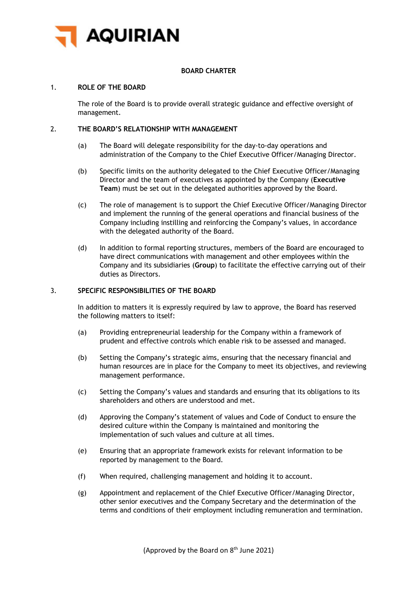

# **BOARD CHARTER**

### 1. **ROLE OF THE BOARD**

The role of the Board is to provide overall strategic guidance and effective oversight of management.

# 2. **THE BOARD'S RELATIONSHIP WITH MANAGEMENT**

- (a) The Board will delegate responsibility for the day-to-day operations and administration of the Company to the Chief Executive Officer/Managing Director.
- (b) Specific limits on the authority delegated to the Chief Executive Officer/Managing Director and the team of executives as appointed by the Company (**Executive Team**) must be set out in the delegated authorities approved by the Board.
- (c) The role of management is to support the Chief Executive Officer/Managing Director and implement the running of the general operations and financial business of the Company including instilling and reinforcing the Company's values, in accordance with the delegated authority of the Board.
- (d) In addition to formal reporting structures, members of the Board are encouraged to have direct communications with management and other employees within the Company and its subsidiaries (**Group**) to facilitate the effective carrying out of their duties as Directors.

# 3. **SPECIFIC RESPONSIBILITIES OF THE BOARD**

In addition to matters it is expressly required by law to approve, the Board has reserved the following matters to itself:

- (a) Providing entrepreneurial leadership for the Company within a framework of prudent and effective controls which enable risk to be assessed and managed.
- (b) Setting the Company's strategic aims, ensuring that the necessary financial and human resources are in place for the Company to meet its objectives, and reviewing management performance.
- (c) Setting the Company's values and standards and ensuring that its obligations to its shareholders and others are understood and met.
- (d) Approving the Company's statement of values and Code of Conduct to ensure the desired culture within the Company is maintained and monitoring the implementation of such values and culture at all times.
- (e) Ensuring that an appropriate framework exists for relevant information to be reported by management to the Board.
- (f) When required, challenging management and holding it to account.
- (g) Appointment and replacement of the Chief Executive Officer/Managing Director, other senior executives and the Company Secretary and the determination of the terms and conditions of their employment including remuneration and termination.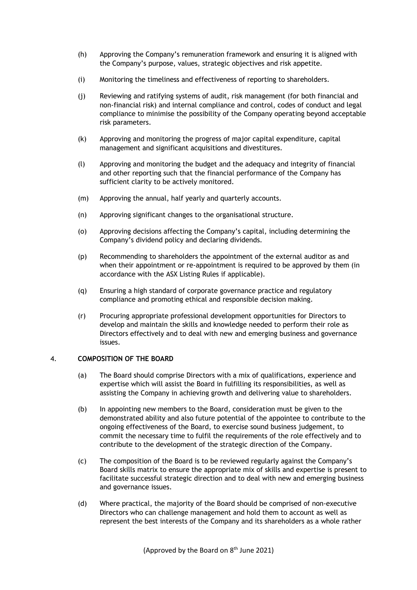- (h) Approving the Company's remuneration framework and ensuring it is aligned with the Company's purpose, values, strategic objectives and risk appetite.
- (i) Monitoring the timeliness and effectiveness of reporting to shareholders.
- (j) Reviewing and ratifying systems of audit, risk management (for both financial and non-financial risk) and internal compliance and control, codes of conduct and legal compliance to minimise the possibility of the Company operating beyond acceptable risk parameters.
- (k) Approving and monitoring the progress of major capital expenditure, capital management and significant acquisitions and divestitures.
- (l) Approving and monitoring the budget and the adequacy and integrity of financial and other reporting such that the financial performance of the Company has sufficient clarity to be actively monitored.
- (m) Approving the annual, half yearly and quarterly accounts.
- (n) Approving significant changes to the organisational structure.
- (o) Approving decisions affecting the Company's capital, including determining the Company's dividend policy and declaring dividends.
- (p) Recommending to shareholders the appointment of the external auditor as and when their appointment or re-appointment is required to be approved by them (in accordance with the ASX Listing Rules if applicable).
- (q) Ensuring a high standard of corporate governance practice and regulatory compliance and promoting ethical and responsible decision making.
- (r) Procuring appropriate professional development opportunities for Directors to develop and maintain the skills and knowledge needed to perform their role as Directors effectively and to deal with new and emerging business and governance issues.

### 4. **COMPOSITION OF THE BOARD**

- (a) The Board should comprise Directors with a mix of qualifications, experience and expertise which will assist the Board in fulfilling its responsibilities, as well as assisting the Company in achieving growth and delivering value to shareholders.
- (b) In appointing new members to the Board, consideration must be given to the demonstrated ability and also future potential of the appointee to contribute to the ongoing effectiveness of the Board, to exercise sound business judgement, to commit the necessary time to fulfil the requirements of the role effectively and to contribute to the development of the strategic direction of the Company.
- (c) The composition of the Board is to be reviewed regularly against the Company's Board skills matrix to ensure the appropriate mix of skills and expertise is present to facilitate successful strategic direction and to deal with new and emerging business and governance issues.
- (d) Where practical, the majority of the Board should be comprised of non-executive Directors who can challenge management and hold them to account as well as represent the best interests of the Company and its shareholders as a whole rather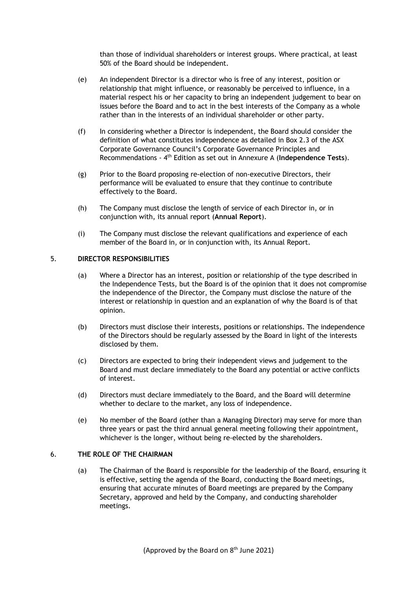than those of individual shareholders or interest groups. Where practical, at least 50% of the Board should be independent.

- (e) An independent Director is a director who is free of any interest, position or relationship that might influence, or reasonably be perceived to influence, in a material respect his or her capacity to bring an independent judgement to bear on issues before the Board and to act in the best interests of the Company as a whole rather than in the interests of an individual shareholder or other party.
- (f) In considering whether a Director is independent, the Board should consider the definition of what constitutes independence as detailed in Box 2.3 of the ASX Corporate Governance Council's Corporate Governance Principles and Recommendations - 4th Edition as set out in Annexure A (**Independence Tests**).
- (g) Prior to the Board proposing re-election of non-executive Directors, their performance will be evaluated to ensure that they continue to contribute effectively to the Board.
- (h) The Company must disclose the length of service of each Director in, or in conjunction with, its annual report (**Annual Report**).
- (i) The Company must disclose the relevant qualifications and experience of each member of the Board in, or in conjunction with, its Annual Report.

# 5. **DIRECTOR RESPONSIBILITIES**

- (a) Where a Director has an interest, position or relationship of the type described in the Independence Tests, but the Board is of the opinion that it does not compromise the independence of the Director, the Company must disclose the nature of the interest or relationship in question and an explanation of why the Board is of that opinion.
- (b) Directors must disclose their interests, positions or relationships. The independence of the Directors should be regularly assessed by the Board in light of the interests disclosed by them.
- (c) Directors are expected to bring their independent views and judgement to the Board and must declare immediately to the Board any potential or active conflicts of interest.
- (d) Directors must declare immediately to the Board, and the Board will determine whether to declare to the market, any loss of independence.
- (e) No member of the Board (other than a Managing Director) may serve for more than three years or past the third annual general meeting following their appointment, whichever is the longer, without being re-elected by the shareholders.

#### 6. **THE ROLE OF THE CHAIRMAN**

(a) The Chairman of the Board is responsible for the leadership of the Board, ensuring it is effective, setting the agenda of the Board, conducting the Board meetings, ensuring that accurate minutes of Board meetings are prepared by the Company Secretary, approved and held by the Company, and conducting shareholder meetings.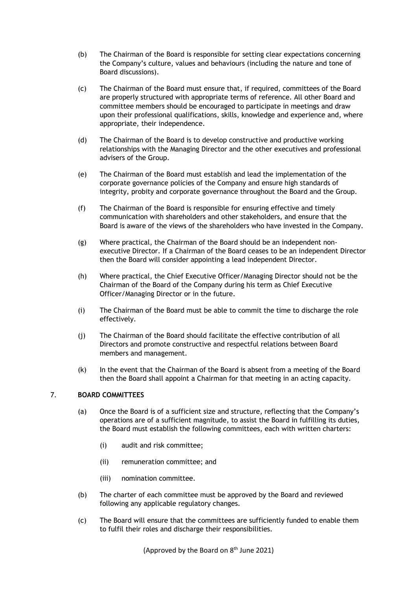- (b) The Chairman of the Board is responsible for setting clear expectations concerning the Company's culture, values and behaviours (including the nature and tone of Board discussions).
- (c) The Chairman of the Board must ensure that, if required, committees of the Board are properly structured with appropriate terms of reference. All other Board and committee members should be encouraged to participate in meetings and draw upon their professional qualifications, skills, knowledge and experience and, where appropriate, their independence.
- (d) The Chairman of the Board is to develop constructive and productive working relationships with the Managing Director and the other executives and professional advisers of the Group.
- (e) The Chairman of the Board must establish and lead the implementation of the corporate governance policies of the Company and ensure high standards of integrity, probity and corporate governance throughout the Board and the Group.
- (f) The Chairman of the Board is responsible for ensuring effective and timely communication with shareholders and other stakeholders, and ensure that the Board is aware of the views of the shareholders who have invested in the Company.
- (g) Where practical, the Chairman of the Board should be an independent nonexecutive Director. If a Chairman of the Board ceases to be an independent Director then the Board will consider appointing a lead independent Director.
- (h) Where practical, the Chief Executive Officer/Managing Director should not be the Chairman of the Board of the Company during his term as Chief Executive Officer/Managing Director or in the future.
- (i) The Chairman of the Board must be able to commit the time to discharge the role effectively.
- (j) The Chairman of the Board should facilitate the effective contribution of all Directors and promote constructive and respectful relations between Board members and management.
- (k) In the event that the Chairman of the Board is absent from a meeting of the Board then the Board shall appoint a Chairman for that meeting in an acting capacity.

# 7. **BOARD COMMITTEES**

- (a) Once the Board is of a sufficient size and structure, reflecting that the Company's operations are of a sufficient magnitude, to assist the Board in fulfilling its duties, the Board must establish the following committees, each with written charters:
	- (i) audit and risk committee;
	- (ii) remuneration committee; and
	- (iii) nomination committee.
- (b) The charter of each committee must be approved by the Board and reviewed following any applicable regulatory changes.
- (c) The Board will ensure that the committees are sufficiently funded to enable them to fulfil their roles and discharge their responsibilities.

(Approved by the Board on  $8<sup>th</sup>$  June 2021)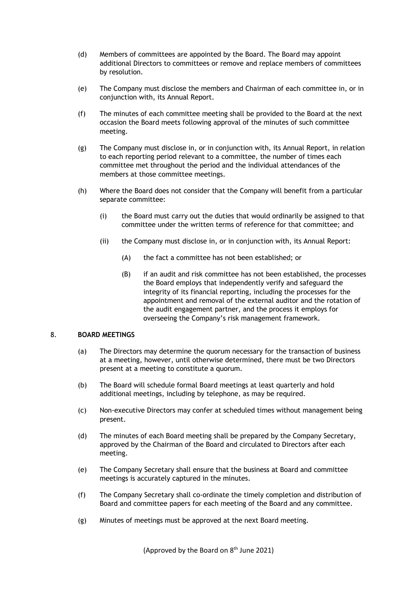- (d) Members of committees are appointed by the Board. The Board may appoint additional Directors to committees or remove and replace members of committees by resolution.
- (e) The Company must disclose the members and Chairman of each committee in, or in conjunction with, its Annual Report.
- (f) The minutes of each committee meeting shall be provided to the Board at the next occasion the Board meets following approval of the minutes of such committee meeting.
- (g) The Company must disclose in, or in conjunction with, its Annual Report, in relation to each reporting period relevant to a committee, the number of times each committee met throughout the period and the individual attendances of the members at those committee meetings.
- (h) Where the Board does not consider that the Company will benefit from a particular separate committee:
	- (i) the Board must carry out the duties that would ordinarily be assigned to that committee under the written terms of reference for that committee; and
	- (ii) the Company must disclose in, or in conjunction with, its Annual Report:
		- (A) the fact a committee has not been established; or
		- (B) if an audit and risk committee has not been established, the processes the Board employs that independently verify and safeguard the integrity of its financial reporting, including the processes for the appointment and removal of the external auditor and the rotation of the audit engagement partner, and the process it employs for overseeing the Company's risk management framework.

# 8. **BOARD MEETINGS**

- (a) The Directors may determine the quorum necessary for the transaction of business at a meeting, however, until otherwise determined, there must be two Directors present at a meeting to constitute a quorum.
- (b) The Board will schedule formal Board meetings at least quarterly and hold additional meetings, including by telephone, as may be required.
- (c) Non-executive Directors may confer at scheduled times without management being present.
- (d) The minutes of each Board meeting shall be prepared by the Company Secretary, approved by the Chairman of the Board and circulated to Directors after each meeting.
- (e) The Company Secretary shall ensure that the business at Board and committee meetings is accurately captured in the minutes.
- (f) The Company Secretary shall co-ordinate the timely completion and distribution of Board and committee papers for each meeting of the Board and any committee.
- (g) Minutes of meetings must be approved at the next Board meeting.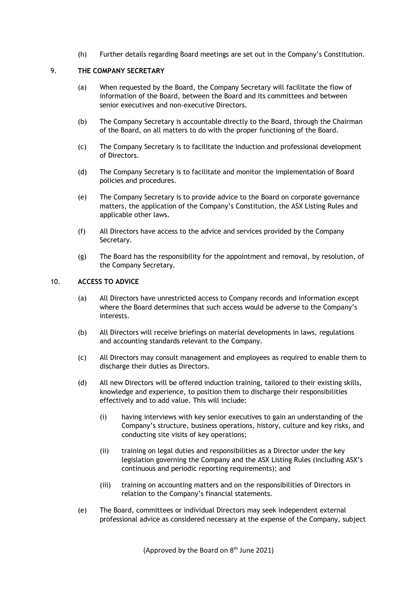(h) Further details regarding Board meetings are set out in the Company's Constitution.

### 9. **THE COMPANY SECRETARY**

- (a) When requested by the Board, the Company Secretary will facilitate the flow of information of the Board, between the Board and its committees and between senior executives and non-executive Directors.
- (b) The Company Secretary is accountable directly to the Board, through the Chairman of the Board, on all matters to do with the proper functioning of the Board.
- (c) The Company Secretary is to facilitate the induction and professional development of Directors.
- (d) The Company Secretary is to facilitate and monitor the implementation of Board policies and procedures.
- (e) The Company Secretary is to provide advice to the Board on corporate governance matters, the application of the Company's Constitution, the ASX Listing Rules and applicable other laws.
- (f) All Directors have access to the advice and services provided by the Company Secretary.
- (g) The Board has the responsibility for the appointment and removal, by resolution, of the Company Secretary.

### 10. **ACCESS TO ADVICE**

- (a) All Directors have unrestricted access to Company records and information except where the Board determines that such access would be adverse to the Company's interests.
- (b) All Directors will receive briefings on material developments in laws, regulations and accounting standards relevant to the Company.
- (c) All Directors may consult management and employees as required to enable them to discharge their duties as Directors.
- (d) All new Directors will be offered induction training, tailored to their existing skills, knowledge and experience, to position them to discharge their responsibilities effectively and to add value. This will include:
	- (i) having interviews with key senior executives to gain an understanding of the Company's structure, business operations, history, culture and key risks, and conducting site visits of key operations;
	- (ii) training on legal duties and responsibilities as a Director under the key legislation governing the Company and the ASX Listing Rules (including ASX's continuous and periodic reporting requirements); and
	- (iii) training on accounting matters and on the responsibilities of Directors in relation to the Company's financial statements.
- (e) The Board, committees or individual Directors may seek independent external professional advice as considered necessary at the expense of the Company, subject